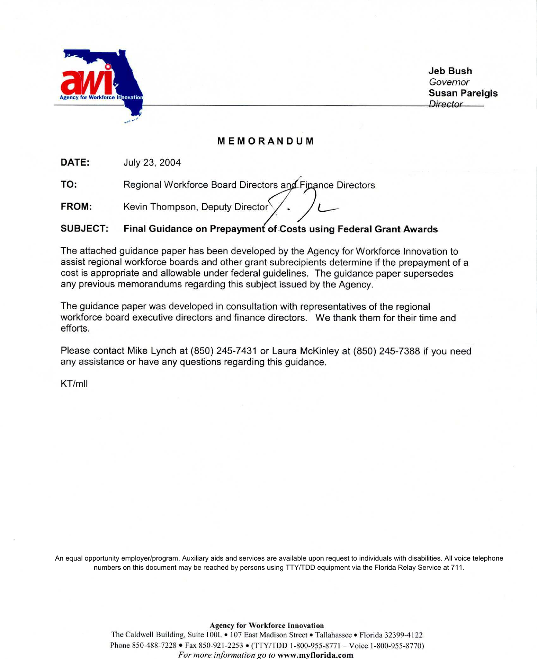

**Jeb Bush** Governor **Susan Pareigis** Director

#### MEMORANDUM

DATE: July 23, 2004

Regional Workforce Board Directors and Finance Directors TO:

Kevin Thompson, Deputy Director FROM:

#### **SUBJECT:** Final Guidance on Prepayment of Costs using Federal Grant Awards

The attached guidance paper has been developed by the Agency for Workforce Innovation to assist regional workforce boards and other grant subrecipients determine if the prepayment of a cost is appropriate and allowable under federal guidelines. The guidance paper supersedes any previous memorandums regarding this subject issued by the Agency.

The guidance paper was developed in consultation with representatives of the regional workforce board executive directors and finance directors. We thank them for their time and efforts

Please contact Mike Lynch at (850) 245-7431 or Laura McKinley at (850) 245-7388 if you need any assistance or have any questions regarding this guidance.

 $KT/mII$ 

An equal opportunity employer/program. Auxiliary aids and services are available upon request to individuals with disabilities. All voice telephone numbers on this document may be reached by persons using TTY/TDD equipment via the Florida Relay Service at 711.

> **Agency for Workforce Innovation** The Caldwell Building, Suite 100L • 107 East Madison Street • Tallahassee • Florida 32399-4122 Phone 850-488-7228 • Fax 850-921-2253 • (TTY/TDD 1-800-955-8771 - Voice 1-800-955-8770) For more information go to www.myflorida.com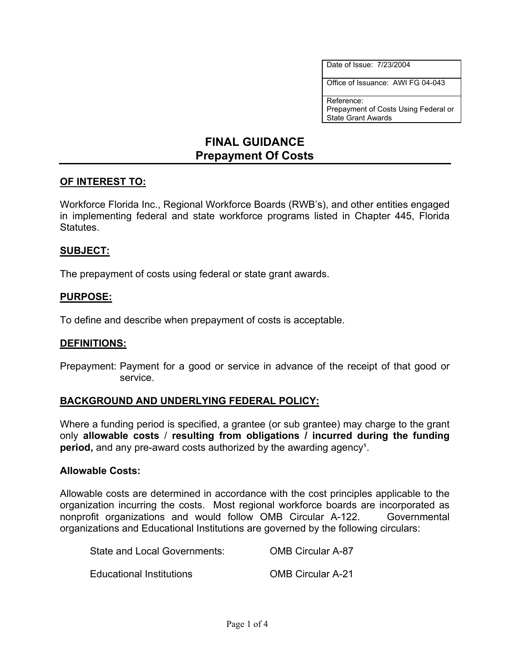Date of Issue: 7/23/2004

Office of Issuance: AWI FG 04-043

Reference: Prepayment of Costs Using Federal or State Grant Awards

# **FINAL GUIDANCE Prepayment Of Costs**

# **OF INTEREST TO:**

Workforce Florida Inc., Regional Workforce Boards (RWB's), and other entities engaged in implementing federal and state workforce programs listed in Chapter 445, Florida Statutes.

#### **SUBJECT:**

The prepayment of costs using federal or state grant awards.

# **PURPOSE:**

To define and describe when prepayment of costs is acceptable.

#### **DEFINITIONS:**

Prepayment: Payment for a good or service in advance of the receipt of that good or service.

#### **BACKGROUND AND UNDERLYING FEDERAL POLICY:**

Where a funding period is specified, a grantee (or sub grantee) may charge to the grant only **allowable costs** / **resulting from obligations / incurred during the funding period,** and any pre-award costs authorized by the awarding agency<sup>1</sup>.

#### **Allowable Costs:**

Allowable costs are determined in accordance with the cost principles applicable to the organization incurring the costs. Most regional workforce boards are incorporated as nonprofit organizations and would follow OMB Circular A-122. Governmental organizations and Educational Institutions are governed by the following circulars:

| State and Local Governments: | <b>OMB Circular A-87</b> |
|------------------------------|--------------------------|
| Educational Institutions     | <b>OMB Circular A-21</b> |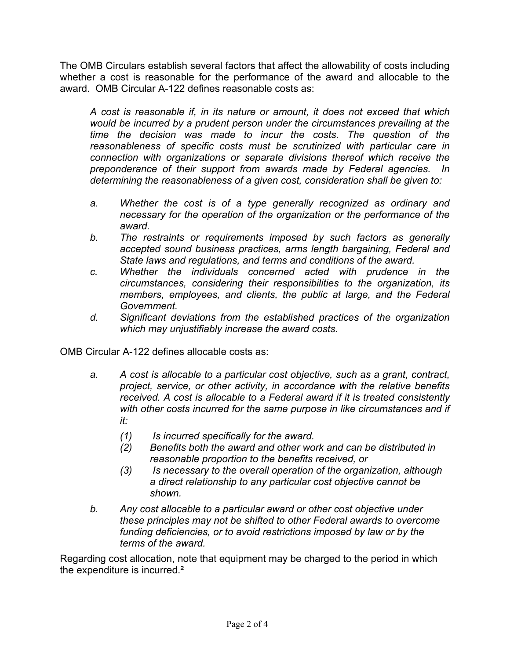The OMB Circulars establish several factors that affect the allowability of costs including whether a cost is reasonable for the performance of the award and allocable to the award. OMB Circular A-122 defines reasonable costs as:

*A cost is reasonable if, in its nature or amount, it does not exceed that which would be incurred by a prudent person under the circumstances prevailing at the time the decision was made to incur the costs. The question of the reasonableness of specific costs must be scrutinized with particular care in connection with organizations or separate divisions thereof which receive the preponderance of their support from awards made by Federal agencies. In determining the reasonableness of a given cost, consideration shall be given to:* 

- *a. Whether the cost is of a type generally recognized as ordinary and necessary for the operation of the organization or the performance of the award.*
- *b. The restraints or requirements imposed by such factors as generally accepted sound business practices, arms length bargaining, Federal and State laws and regulations, and terms and conditions of the award.*
- *c. Whether the individuals concerned acted with prudence in the circumstances, considering their responsibilities to the organization, its members, employees, and clients, the public at large, and the Federal Government.*
- *d. Significant deviations from the established practices of the organization which may unjustifiably increase the award costs.*

OMB Circular A-122 defines allocable costs as:

- *a. A cost is allocable to a particular cost objective, such as a grant, contract, project, service, or other activity, in accordance with the relative benefits received. A cost is allocable to a Federal award if it is treated consistently with other costs incurred for the same purpose in like circumstances and if it:* 
	- *(1) Is incurred specifically for the award.*
	- *(2) Benefits both the award and other work and can be distributed in reasonable proportion to the benefits received, or*
	- *(3) Is necessary to the overall operation of the organization, although a direct relationship to any particular cost objective cannot be shown.*
- *b. Any cost allocable to a particular award or other cost objective under these principles may not be shifted to other Federal awards to overcome funding deficiencies, or to avoid restrictions imposed by law or by the terms of the award.*

Regarding cost allocation, note that equipment may be charged to the period in which the expenditure is incurred.²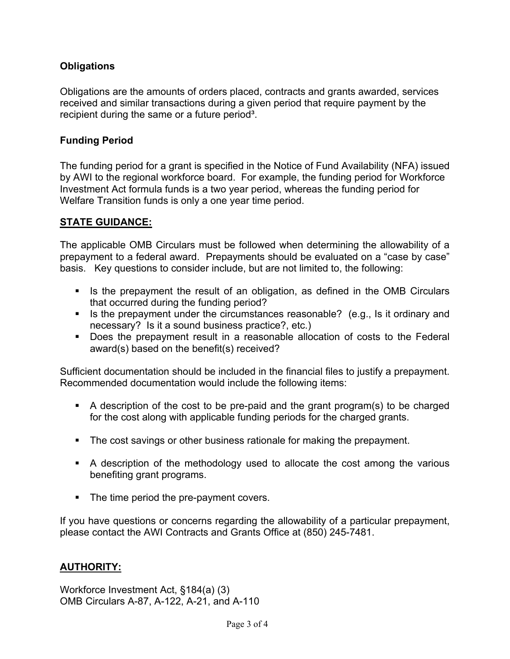# **Obligations**

Obligations are the amounts of orders placed, contracts and grants awarded, services received and similar transactions during a given period that require payment by the recipient during the same or a future period<sup>3</sup>.

# **Funding Period**

The funding period for a grant is specified in the Notice of Fund Availability (NFA) issued by AWI to the regional workforce board. For example, the funding period for Workforce Investment Act formula funds is a two year period, whereas the funding period for Welfare Transition funds is only a one year time period.

# **STATE GUIDANCE:**

The applicable OMB Circulars must be followed when determining the allowability of a prepayment to a federal award. Prepayments should be evaluated on a "case by case" basis. Key questions to consider include, but are not limited to, the following:

- Is the prepayment the result of an obligation, as defined in the OMB Circulars that occurred during the funding period?
- Is the prepayment under the circumstances reasonable? (e.g., Is it ordinary and necessary? Is it a sound business practice?, etc.)
- Does the prepayment result in a reasonable allocation of costs to the Federal award(s) based on the benefit(s) received?

Sufficient documentation should be included in the financial files to justify a prepayment. Recommended documentation would include the following items:

- A description of the cost to be pre-paid and the grant program(s) to be charged for the cost along with applicable funding periods for the charged grants.
- The cost savings or other business rationale for making the prepayment.
- A description of the methodology used to allocate the cost among the various benefiting grant programs.
- The time period the pre-payment covers.

If you have questions or concerns regarding the allowability of a particular prepayment, please contact the AWI Contracts and Grants Office at (850) 245-7481.

# **AUTHORITY:**

Workforce Investment Act, §184(a) (3) OMB Circulars A-87, A-122, A-21, and A-110